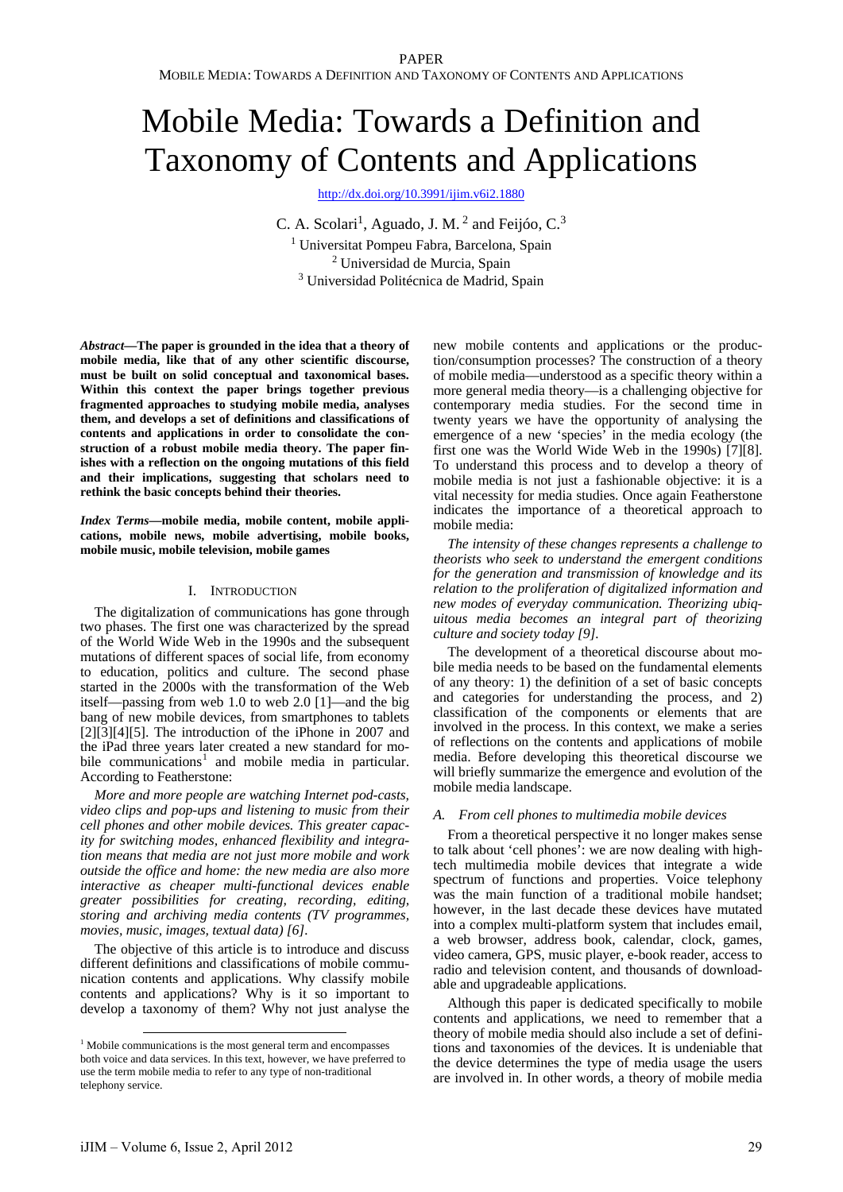# Mobile Media: Towards a Definition and Taxonomy of Contents and Applications

<http://dx.doi.org/10.3991/ijim.v6i2.1880>

C. A. Scolari<sup>1</sup>, Aguado, J. M.<sup>2</sup> and Feijóo, C.<sup>3</sup> <sup>1</sup> Universitat Pompeu Fabra, Barcelona, Spain 2 Universidad de Murcia, Spain <sup>3</sup> Universidad Politécnica de Madrid, Spain

*Abstract***—The paper is grounded in the idea that a theory of mobile media, like that of any other scientific discourse, must be built on solid conceptual and taxonomical bases. Within this context the paper brings together previous fragmented approaches to studying mobile media, analyses them, and develops a set of definitions and classifications of contents and applications in order to consolidate the construction of a robust mobile media theory. The paper finishes with a reflection on the ongoing mutations of this field and their implications, suggesting that scholars need to rethink the basic concepts behind their theories.** 

*Index Terms***—mobile media, mobile content, mobile applications, mobile news, mobile advertising, mobile books, mobile music, mobile television, mobile games** 

## I. INTRODUCTION

The digitalization of communications has gone through two phases. The first one was characterized by the spread of the World Wide Web in the 1990s and the subsequent mutations of different spaces of social life, from economy to education, politics and culture. The second phase started in the 2000s with the transformation of the Web itself—passing from web 1.0 to web 2.0 [1]—and the big bang of new mobile devices, from smartphones to tablets  $[2][3][4][5]$ . The introduction of the iPhone in 2007 and the iPad three years later created a new standard for mo-bile communications<sup>[1](#page-0-0)</sup> and mobile media in particular. According to Featherstone:

*More and more people are watching Internet pod-casts, video clips and pop-ups and listening to music from their cell phones and other mobile devices. This greater capacity for switching modes, enhanced flexibility and integration means that media are not just more mobile and work outside the office and home: the new media are also more interactive as cheaper multi-functional devices enable greater possibilities for creating, recording, editing, storing and archiving media contents (TV programmes, movies, music, images, textual data) [6].* 

The objective of this article is to introduce and discuss different definitions and classifications of mobile communication contents and applications. Why classify mobile contents and applications? Why is it so important to develop a taxonomy of them? Why not just analyse the

new mobile contents and applications or the production/consumption processes? The construction of a theory of mobile media—understood as a specific theory within a more general media theory—is a challenging objective for contemporary media studies. For the second time in twenty years we have the opportunity of analysing the emergence of a new 'species' in the media ecology (the first one was the World Wide Web in the 1990s) [7][8]. To understand this process and to develop a theory of mobile media is not just a fashionable objective: it is a vital necessity for media studies. Once again Featherstone indicates the importance of a theoretical approach to mobile media:

*The intensity of these changes represents a challenge to theorists who seek to understand the emergent conditions for the generation and transmission of knowledge and its relation to the proliferation of digitalized information and new modes of everyday communication. Theorizing ubiquitous media becomes an integral part of theorizing culture and society today [9].* 

The development of a theoretical discourse about mobile media needs to be based on the fundamental elements of any theory: 1) the definition of a set of basic concepts and categories for understanding the process, and 2) classification of the components or elements that are involved in the process. In this context, we make a series of reflections on the contents and applications of mobile media. Before developing this theoretical discourse we will briefly summarize the emergence and evolution of the mobile media landscape.

# *A. From cell phones to multimedia mobile devices*

From a theoretical perspective it no longer makes sense to talk about 'cell phones': we are now dealing with hightech multimedia mobile devices that integrate a wide spectrum of functions and properties. Voice telephony was the main function of a traditional mobile handset: however, in the last decade these devices have mutated into a complex multi-platform system that includes email, a web browser, address book, calendar, clock, games, video camera, GPS, music player, e-book reader, access to radio and television content, and thousands of downloadable and upgradeable applications.

Although this paper is dedicated specifically to mobile contents and applications, we need to remember that a theory of mobile media should also include a set of definitions and taxonomies of the devices. It is undeniable that the device determines the type of media usage the users are involved in. In other words, a theory of mobile media

<span id="page-0-0"></span> <sup>1</sup> Mobile communications is the most general term and encompasses both voice and data services. In this text, however, we have preferred to use the term mobile media to refer to any type of non-traditional telephony service.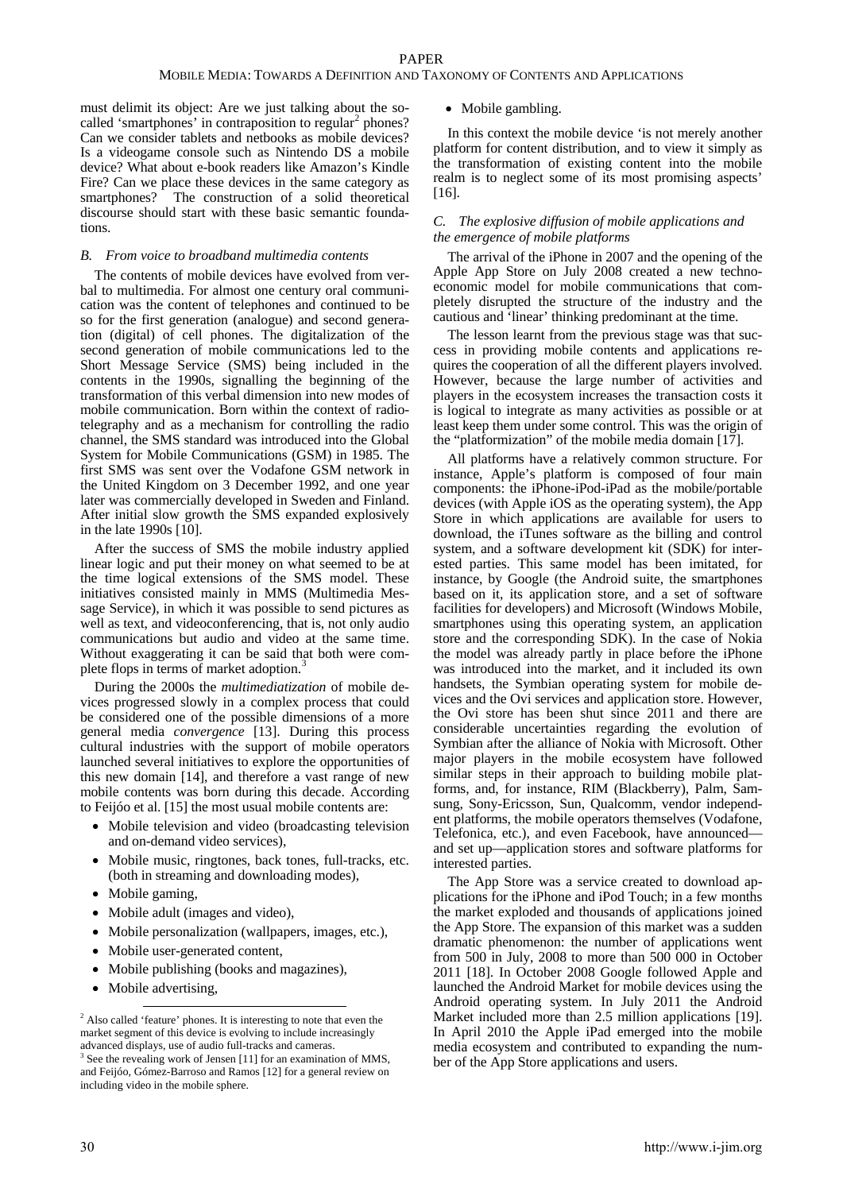must delimit its object: Are we just talking about the so-called 'smartphones' in contraposition to regular<sup>[2](#page-1-0)</sup> phones? Can we consider tablets and netbooks as mobile devices? Is a videogame console such as Nintendo DS a mobile device? What about e-book readers like Amazon's Kindle Fire? Can we place these devices in the same category as smartphones? The construction of a solid theoretical discourse should start with these basic semantic foundations.

## *B. From voice to broadband multimedia contents*

The contents of mobile devices have evolved from verbal to multimedia. For almost one century oral communication was the content of telephones and continued to be so for the first generation (analogue) and second generation (digital) of cell phones. The digitalization of the second generation of mobile communications led to the Short Message Service (SMS) being included in the contents in the 1990s, signalling the beginning of the transformation of this verbal dimension into new modes of mobile communication. Born within the context of radiotelegraphy and as a mechanism for controlling the radio channel, the SMS standard was introduced into the Global System for Mobile Communications (GSM) in 1985. The first SMS was sent over the Vodafone GSM network in the United Kingdom on 3 December 1992, and one year later was commercially developed in Sweden and Finland. After initial slow growth the SMS expanded explosively in the late 1990s [10].

After the success of SMS the mobile industry applied linear logic and put their money on what seemed to be at the time logical extensions of the SMS model. These initiatives consisted mainly in MMS (Multimedia Message Service), in which it was possible to send pictures as well as text, and videoconferencing, that is, not only audio communications but audio and video at the same time. Without exaggerating it can be said that both were com-plete flops in terms of market adoption.<sup>[3](#page-1-1)</sup>

During the 2000s the *multimediatization* of mobile devices progressed slowly in a complex process that could be considered one of the possible dimensions of a more general media *convergence* [13]. During this process cultural industries with the support of mobile operators launched several initiatives to explore the opportunities of this new domain [14], and therefore a vast range of new mobile contents was born during this decade. According to Feijóo et al. [15] the most usual mobile contents are:

- Mobile television and video (broadcasting television and on-demand video services),
- Mobile music, ringtones, back tones, full-tracks, etc. (both in streaming and downloading modes),
- Mobile gaming,
- Mobile adult (images and video),
- Mobile personalization (wallpapers, images, etc.),
- Mobile user-generated content,
- Mobile publishing (books and magazines),
- Mobile advertising,

• Mobile gambling.

In this context the mobile device 'is not merely another platform for content distribution, and to view it simply as the transformation of existing content into the mobile realm is to neglect some of its most promising aspects' [16].

# *C. The explosive diffusion of mobile applications and the emergence of mobile platforms*

The arrival of the iPhone in 2007 and the opening of the Apple App Store on July 2008 created a new technoeconomic model for mobile communications that completely disrupted the structure of the industry and the cautious and 'linear' thinking predominant at the time.

The lesson learnt from the previous stage was that success in providing mobile contents and applications requires the cooperation of all the different players involved. However, because the large number of activities and players in the ecosystem increases the transaction costs it is logical to integrate as many activities as possible or at least keep them under some control. This was the origin of the "platformization" of the mobile media domain [17].

All platforms have a relatively common structure. For instance, Apple's platform is composed of four main components: the iPhone-iPod-iPad as the mobile/portable devices (with Apple iOS as the operating system), the App Store in which applications are available for users to download, the iTunes software as the billing and control system, and a software development kit (SDK) for interested parties. This same model has been imitated, for instance, by Google (the Android suite, the smartphones based on it, its application store, and a set of software facilities for developers) and Microsoft (Windows Mobile, smartphones using this operating system, an application store and the corresponding SDK). In the case of Nokia the model was already partly in place before the iPhone was introduced into the market, and it included its own handsets, the Symbian operating system for mobile devices and the Ovi services and application store. However, the Ovi store has been shut since 2011 and there are considerable uncertainties regarding the evolution of Symbian after the alliance of Nokia with Microsoft. Other major players in the mobile ecosystem have followed similar steps in their approach to building mobile platforms, and, for instance, RIM (Blackberry), Palm, Samsung, Sony-Ericsson, Sun, Qualcomm, vendor independent platforms, the mobile operators themselves (Vodafone, Telefonica, etc.), and even Facebook, have announced and set up—application stores and software platforms for interested parties.

The App Store was a service created to download applications for the iPhone and iPod Touch; in a few months the market exploded and thousands of applications joined the App Store. The expansion of this market was a sudden dramatic phenomenon: the number of applications went from 500 in July, 2008 to more than 500 000 in October 2011 [18]. In October 2008 Google followed Apple and launched the Android Market for mobile devices using the Android operating system. In July 2011 the Android Market included more than 2.5 million applications [19]. In April 2010 the Apple iPad emerged into the mobile media ecosystem and contributed to expanding the number of the App Store applications and users.

<span id="page-1-0"></span><sup>&</sup>lt;sup>2</sup> Also called 'feature' phones. It is interesting to note that even the market segment of this device is evolving to include increasingly advanced displays, use of audio full-tracks and cameras.

<span id="page-1-1"></span><sup>&</sup>lt;sup>3</sup> See the revealing work of Jensen [11] for an examination of MMS, and Feijóo, Gómez-Barroso and Ramos [12] for a general review on including video in the mobile sphere.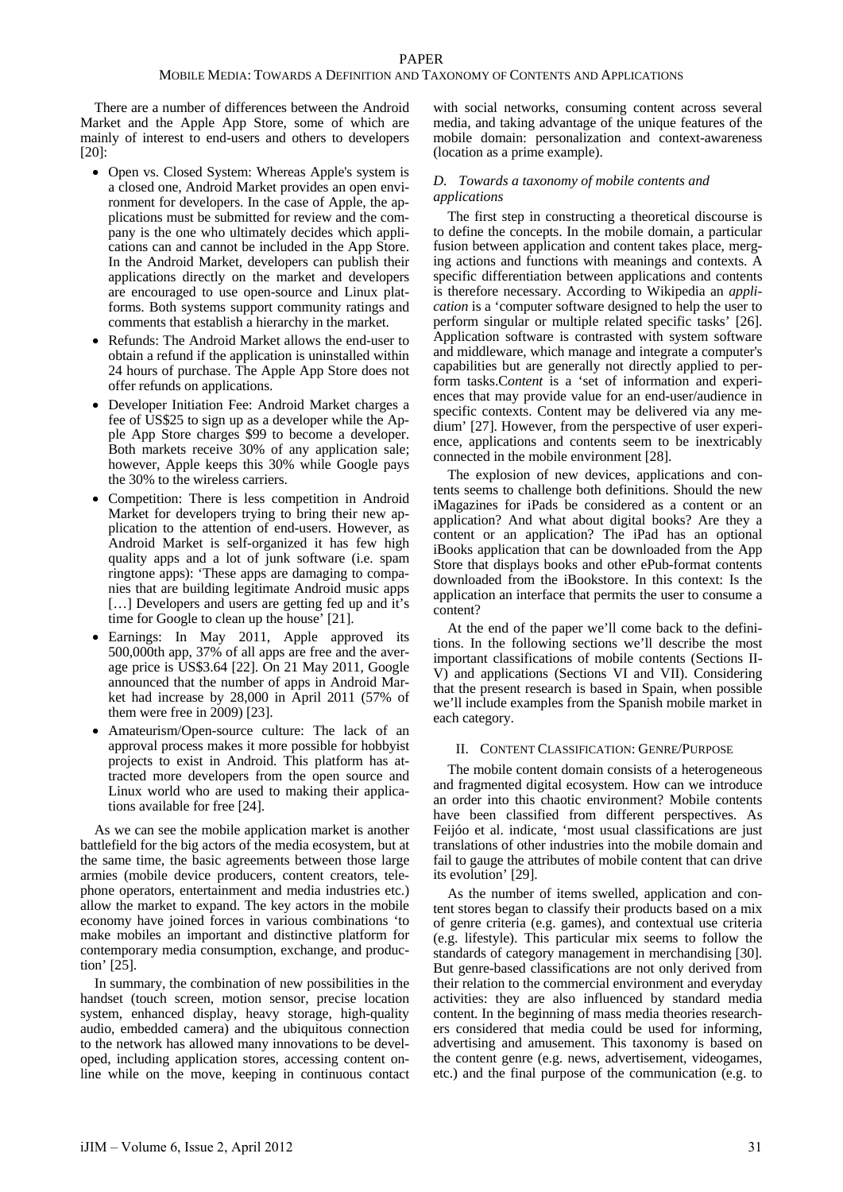There are a number of differences between the Android Market and the Apple App Store, some of which are mainly of interest to end-users and others to developers [20]:

- Open vs. Closed System: Whereas Apple's system is a closed one, Android Market provides an open environment for developers. In the case of Apple, the applications must be submitted for review and the company is the one who ultimately decides which applications can and cannot be included in the App Store. In the Android Market, developers can publish their applications directly on the market and developers are encouraged to use open-source and Linux platforms. Both systems support community ratings and comments that establish a hierarchy in the market.
- Refunds: The Android Market allows the end-user to obtain a refund if the application is uninstalled within 24 hours of purchase. The Apple App Store does not offer refunds on applications.
- Developer Initiation Fee: Android Market charges a fee of US\$25 to sign up as a developer while the Apple App Store charges \$99 to become a developer. Both markets receive 30% of any application sale; however, Apple keeps this 30% while Google pays the 30% to the wireless carriers.
- Competition: There is less competition in Android Market for developers trying to bring their new application to the attention of end-users. However, as Android Market is self-organized it has few high quality apps and a lot of junk software (i.e. spam ringtone apps): 'These apps are damaging to companies that are building legitimate Android music apps [...] Developers and users are getting fed up and it's time for Google to clean up the house' [21].
- Earnings: In May 2011, Apple approved its 500,000th app, 37% of all apps are free and the average price is US\$3.64 [22]. On 21 May 2011, Google announced that the number of apps in Android Market had increase by 28,000 in April 2011 (57% of them were free in 2009) [23].
- Amateurism/Open-source culture: The lack of an approval process makes it more possible for hobbyist projects to exist in Android. This platform has attracted more developers from the open source and Linux world who are used to making their applications available for free [24].

As we can see the mobile application market is another battlefield for the big actors of the media ecosystem, but at the same time, the basic agreements between those large armies (mobile device producers, content creators, telephone operators, entertainment and media industries etc.) allow the market to expand. The key actors in the mobile economy have joined forces in various combinations 'to make mobiles an important and distinctive platform for contemporary media consumption, exchange, and production' [25].

In summary, the combination of new possibilities in the handset (touch screen, motion sensor, precise location system, enhanced display, heavy storage, high-quality audio, embedded camera) and the ubiquitous connection to the network has allowed many innovations to be developed, including application stores, accessing content online while on the move, keeping in continuous contact with social networks, consuming content across several media, and taking advantage of the unique features of the mobile domain: personalization and context-awareness (location as a prime example).

# *D. Towards a taxonomy of mobile contents and applications*

The first step in constructing a theoretical discourse is to define the concepts. In the mobile domain, a particular fusion between application and content takes place, merging actions and functions with meanings and contexts. A specific differentiation between applications and contents is therefore necessary. According to Wikipedia an *application* is a 'computer software designed to help the user to perform singular or multiple related specific tasks' [26]. Application software is contrasted with system software and middleware, which manage and integrate a computer's capabilities but are generally not directly applied to perform tasks.C*ontent* is a 'set of information and experiences that may provide value for an end-user/audience in specific contexts. Content may be delivered via any medium' [27]. However, from the perspective of user experience, applications and contents seem to be inextricably connected in the mobile environment [28].

The explosion of new devices, applications and contents seems to challenge both definitions. Should the new iMagazines for iPads be considered as a content or an application? And what about digital books? Are they a content or an application? The iPad has an optional iBooks application that can be downloaded from the App Store that displays books and other ePub-format contents downloaded from the iBookstore. In this context: Is the application an interface that permits the user to consume a content?

At the end of the paper we'll come back to the definitions. In the following sections we'll describe the most important classifications of mobile contents (Sections II-V) and applications (Sections VI and VII). Considering that the present research is based in Spain, when possible we'll include examples from the Spanish mobile market in each category.

#### II. CONTENT CLASSIFICATION: GENRE/PURPOSE

The mobile content domain consists of a heterogeneous and fragmented digital ecosystem. How can we introduce an order into this chaotic environment? Mobile contents have been classified from different perspectives. As Feijóo et al. indicate, 'most usual classifications are just translations of other industries into the mobile domain and fail to gauge the attributes of mobile content that can drive its evolution' [29].

As the number of items swelled, application and content stores began to classify their products based on a mix of genre criteria (e.g. games), and contextual use criteria (e.g. lifestyle). This particular mix seems to follow the standards of category management in merchandising [30]. But genre-based classifications are not only derived from their relation to the commercial environment and everyday activities: they are also influenced by standard media content. In the beginning of mass media theories researchers considered that media could be used for informing, advertising and amusement. This taxonomy is based on the content genre (e.g. news, advertisement, videogames, etc.) and the final purpose of the communication (e.g. to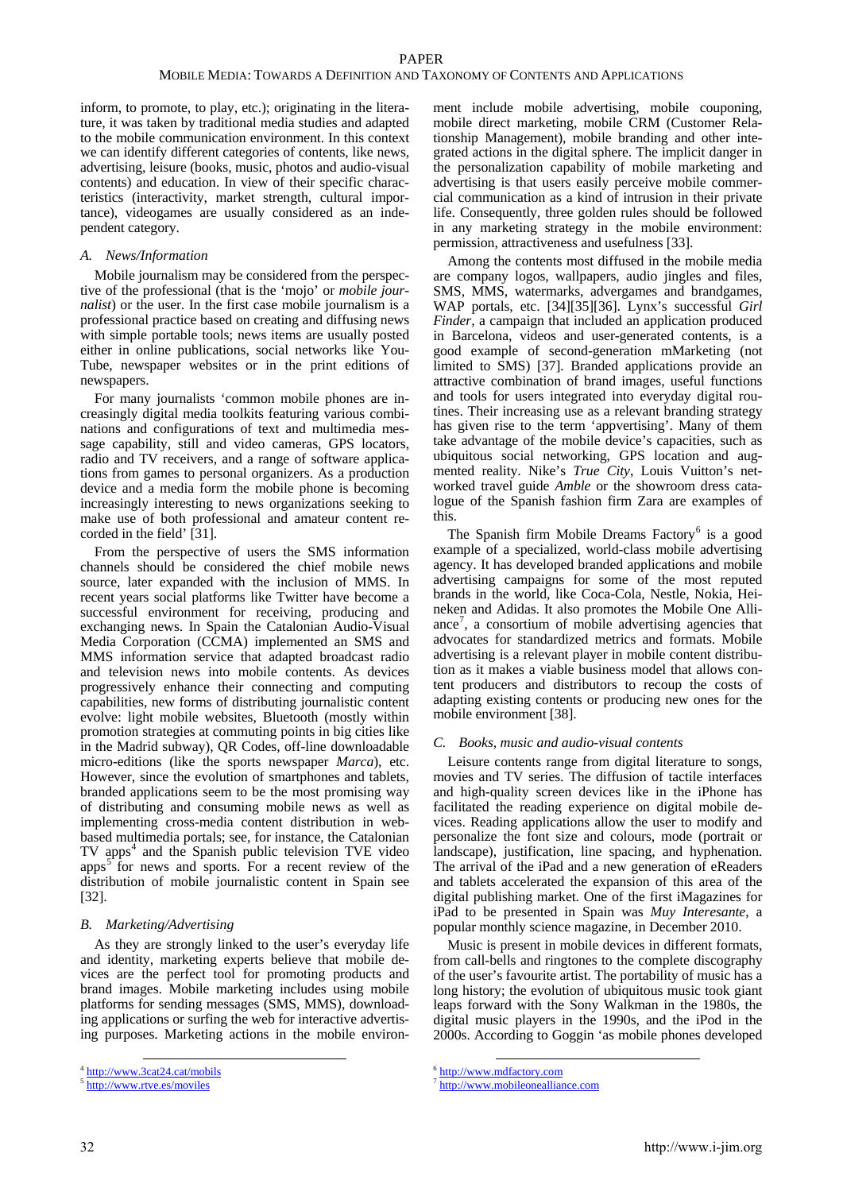inform, to promote, to play, etc.); originating in the literature, it was taken by traditional media studies and adapted to the mobile communication environment. In this context we can identify different categories of contents, like news, advertising, leisure (books, music, photos and audio-visual contents) and education. In view of their specific characteristics (interactivity, market strength, cultural importance), videogames are usually considered as an independent category.

#### *A. News/Information*

Mobile journalism may be considered from the perspective of the professional (that is the 'mojo' or *mobile journalist*) or the user. In the first case mobile journalism is a professional practice based on creating and diffusing news with simple portable tools; news items are usually posted either in online publications, social networks like You-Tube, newspaper websites or in the print editions of newspapers.

For many journalists 'common mobile phones are increasingly digital media toolkits featuring various combinations and configurations of text and multimedia message capability, still and video cameras, GPS locators, radio and TV receivers, and a range of software applications from games to personal organizers. As a production device and a media form the mobile phone is becoming increasingly interesting to news organizations seeking to make use of both professional and amateur content recorded in the field' [31].

From the perspective of users the SMS information channels should be considered the chief mobile news source, later expanded with the inclusion of MMS. In recent years social platforms like Twitter have become a successful environment for receiving, producing and exchanging news. In Spain the Catalonian Audio-Visual Media Corporation (CCMA) implemented an SMS and MMS information service that adapted broadcast radio and television news into mobile contents. As devices progressively enhance their connecting and computing capabilities, new forms of distributing journalistic content evolve: light mobile websites, Bluetooth (mostly within promotion strategies at commuting points in big cities like in the Madrid subway), QR Codes, off-line downloadable micro-editions (like the sports newspaper *Marca*), etc. However, since the evolution of smartphones and tablets, branded applications seem to be the most promising way of distributing and consuming mobile news as well as implementing cross-media content distribution in webbased multimedia portals; see, for instance, the Catalonian TV apps<sup>[4](#page-3-0)</sup> and the Spanish public television TVE video  $apps<sup>5</sup>$  for news and sports. For a recent review of the distribution of mobile journalistic content in Spain see [32].

# *B. Marketing/Advertising*

As they are strongly linked to the user's everyday life and identity, marketing experts believe that mobile devices are the perfect tool for promoting products and brand images. Mobile marketing includes using mobile platforms for sending messages (SMS, MMS), downloading applications or surfing the web for interactive advertising purposes. Marketing actions in the mobile environment include mobile advertising, mobile couponing, mobile direct marketing, mobile CRM (Customer Relationship Management), mobile branding and other integrated actions in the digital sphere. The implicit danger in the personalization capability of mobile marketing and advertising is that users easily perceive mobile commercial communication as a kind of intrusion in their private life. Consequently, three golden rules should be followed in any marketing strategy in the mobile environment: permission, attractiveness and usefulness [33].

Among the contents most diffused in the mobile media are company logos, wallpapers, audio jingles and files, SMS, MMS, watermarks, advergames and brandgames, WAP portals, etc. [34][35][36]. Lynx's successful *Girl Finder,* a campaign that included an application produced in Barcelona, videos and user-generated contents, is a good example of second-generation mMarketing (not limited to SMS) [37]. Branded applications provide an attractive combination of brand images, useful functions and tools for users integrated into everyday digital routines. Their increasing use as a relevant branding strategy has given rise to the term 'appvertising'. Many of them take advantage of the mobile device's capacities, such as ubiquitous social networking, GPS location and augmented reality. Nike's *True City*, Louis Vuitton's networked travel guide *Amble* or the showroom dress catalogue of the Spanish fashion firm Zara are examples of this.

The Spanish firm Mobile Dreams Factory<sup>[6](#page-3-0)</sup> is a good example of a specialized, world-class mobile advertising agency. It has developed branded applications and mobile advertising campaigns for some of the most reputed brands in the world, like Coca-Cola, Nestle, Nokia, Heineken and Adidas. It also promotes the Mobile One Alliance[7](#page-3-1) , a consortium of mobile advertising agencies that advocates for standardized metrics and formats. Mobile advertising is a relevant player in mobile content distribution as it makes a viable business model that allows content producers and distributors to recoup the costs of adapting existing contents or producing new ones for the mobile environment [38].

#### *C. Books, music and audio-visual contents*

Leisure contents range from digital literature to songs, movies and TV series. The diffusion of tactile interfaces and high-quality screen devices like in the iPhone has facilitated the reading experience on digital mobile devices. Reading applications allow the user to modify and personalize the font size and colours, mode (portrait or landscape), justification, line spacing, and hyphenation. The arrival of the iPad and a new generation of eReaders and tablets accelerated the expansion of this area of the digital publishing market. One of the first iMagazines for iPad to be presented in Spain was *Muy Interesante*, a popular monthly science magazine, in December 2010.

Music is present in mobile devices in different formats, from call-bells and ringtones to the complete discography of the user's favourite artist. The portability of music has a long history; the evolution of ubiquitous music took giant leaps forward with the Sony Walkman in the 1980s, the digital music players in the 1990s, and the iPod in the 2000s. According to Goggin 'as mobile phones developed

<span id="page-3-0"></span> $\frac{4 \text{ http://www.3cat24.cat/mobils}}{\text{http://www.rtve.es/moviles}}$ 

<span id="page-3-1"></span>

 <sup>6</sup> http://www.mdfactory.com

<sup>7</sup> http://www.mobileonealliance.com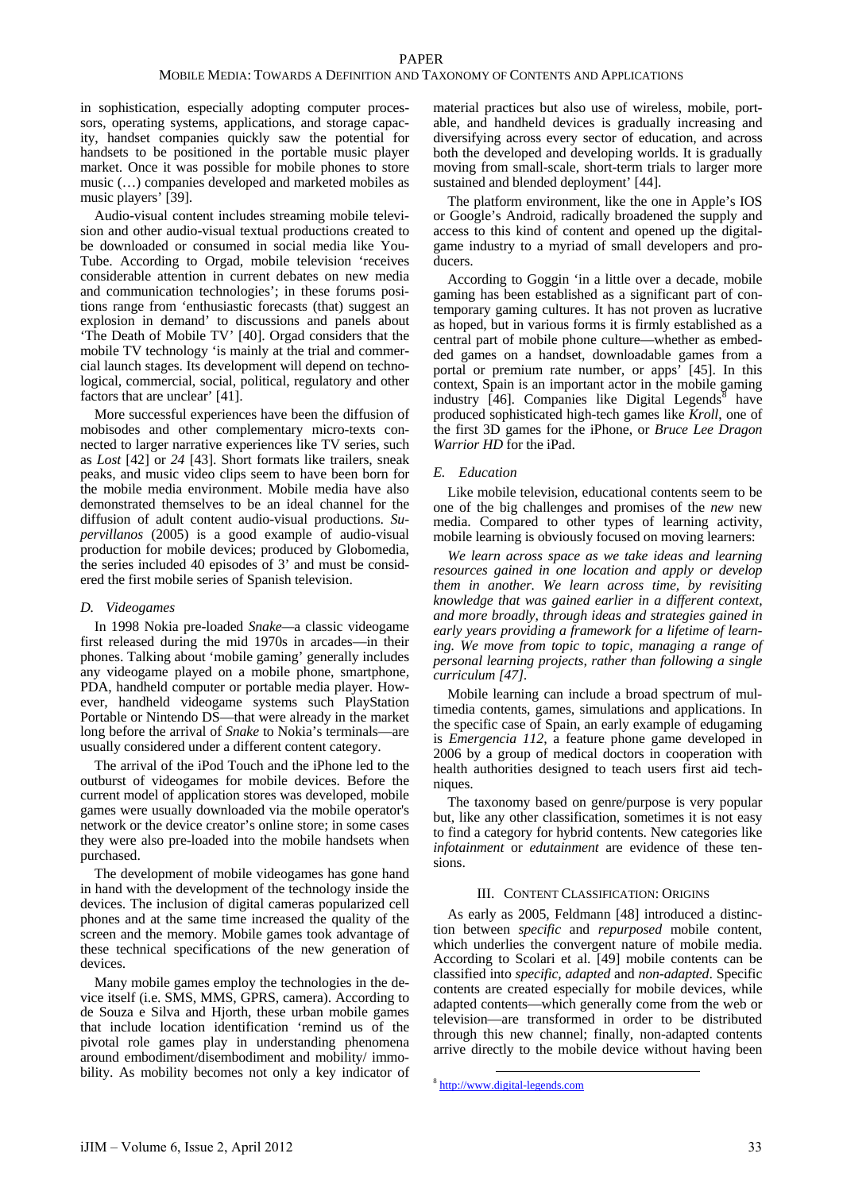in sophistication, especially adopting computer processors, operating systems, applications, and storage capacity, handset companies quickly saw the potential for handsets to be positioned in the portable music player market. Once it was possible for mobile phones to store music (…) companies developed and marketed mobiles as music players' [39].

Audio-visual content includes streaming mobile television and other audio-visual textual productions created to be downloaded or consumed in social media like You-Tube. According to Orgad, mobile television 'receives considerable attention in current debates on new media and communication technologies'; in these forums positions range from 'enthusiastic forecasts (that) suggest an explosion in demand' to discussions and panels about 'The Death of Mobile TV' [40]. Orgad considers that the mobile TV technology 'is mainly at the trial and commercial launch stages. Its development will depend on technological, commercial, social, political, regulatory and other factors that are unclear' [41].

More successful experiences have been the diffusion of mobisodes and other complementary micro-texts connected to larger narrative experiences like TV series, such as *Lost* [42] or *24* [43]. Short formats like trailers, sneak peaks, and music video clips seem to have been born for the mobile media environment. Mobile media have also demonstrated themselves to be an ideal channel for the diffusion of adult content audio-visual productions. *Supervillanos* (2005) is a good example of audio-visual production for mobile devices; produced by Globomedia, the series included 40 episodes of 3' and must be considered the first mobile series of Spanish television.

#### *D. Videogames*

In 1998 Nokia pre-loaded *Snake—*a classic videogame first released during the mid 1970s in arcades—in their phones. Talking about 'mobile gaming' generally includes any videogame played on a mobile phone, smartphone, PDA, handheld computer or portable media player. However, handheld videogame systems such PlayStation Portable or Nintendo DS—that were already in the market long before the arrival of *Snake* to Nokia's terminals—are usually considered under a different content category.

The arrival of the iPod Touch and the iPhone led to the outburst of videogames for mobile devices. Before the current model of application stores was developed, mobile games were usually downloaded via the mobile operator's network or the device creator's online store; in some cases they were also pre-loaded into the mobile handsets when purchased.

The development of mobile videogames has gone hand in hand with the development of the technology inside the devices. The inclusion of digital cameras popularized cell phones and at the same time increased the quality of the screen and the memory. Mobile games took advantage of these technical specifications of the new generation of devices.

<span id="page-4-0"></span>Many mobile games employ the technologies in the device itself (i.e. SMS, MMS, GPRS, camera). According to de Souza e Silva and Hjorth, these urban mobile games that include location identification 'remind us of the pivotal role games play in understanding phenomena around embodiment/disembodiment and mobility/ immobility. As mobility becomes not only a key indicator of material practices but also use of wireless, mobile, portable, and handheld devices is gradually increasing and diversifying across every sector of education, and across both the developed and developing worlds. It is gradually moving from small-scale, short-term trials to larger more sustained and blended deployment' [44].

The platform environment, like the one in Apple's IOS or Google's Android, radically broadened the supply and access to this kind of content and opened up the digitalgame industry to a myriad of small developers and producers.

According to Goggin 'in a little over a decade, mobile gaming has been established as a significant part of contemporary gaming cultures. It has not proven as lucrative as hoped, but in various forms it is firmly established as a central part of mobile phone culture—whether as embedded games on a handset, downloadable games from a portal or premium rate number, or apps' [45]. In this context, Spain is an important actor in the mobile gaming industry  $[46]$ . Companies like Digital Legends have produced sophisticated high-tech games like *Kroll*, one of the first 3D games for the iPhone, or *Bruce Lee Dragon Warrior HD* for the iPad.

## *E. Education*

Like mobile television, educational contents seem to be one of the big challenges and promises of the *new* new media. Compared to other types of learning activity, mobile learning is obviously focused on moving learners:

*We learn across space as we take ideas and learning resources gained in one location and apply or develop them in another. We learn across time, by revisiting knowledge that was gained earlier in a different context, and more broadly, through ideas and strategies gained in early years providing a framework for a lifetime of learning. We move from topic to topic, managing a range of personal learning projects, rather than following a single curriculum [47].* 

Mobile learning can include a broad spectrum of multimedia contents, games, simulations and applications. In the specific case of Spain, an early example of edugaming is *Emergencia 112*, a feature phone game developed in 2006 by a group of medical doctors in cooperation with health authorities designed to teach users first aid techniques.

The taxonomy based on genre/purpose is very popular but, like any other classification, sometimes it is not easy to find a category for hybrid contents. New categories like *infotainment* or *edutainment* are evidence of these tensions.

## III. CONTENT CLASSIFICATION: ORIGINS

As early as 2005, Feldmann [48] introduced a distinction between *specific* and *repurposed* mobile content, which underlies the convergent nature of mobile media. According to Scolari et al. [49] mobile contents can be classified into *specific, adapted* and *non-adapted*. Specific contents are created especially for mobile devices, while adapted contents—which generally come from the web or television—are transformed in order to be distributed through this new channel; finally, non-adapted contents arrive directly to the mobile device without having been

 <sup>8</sup> http://www.digital-legends.com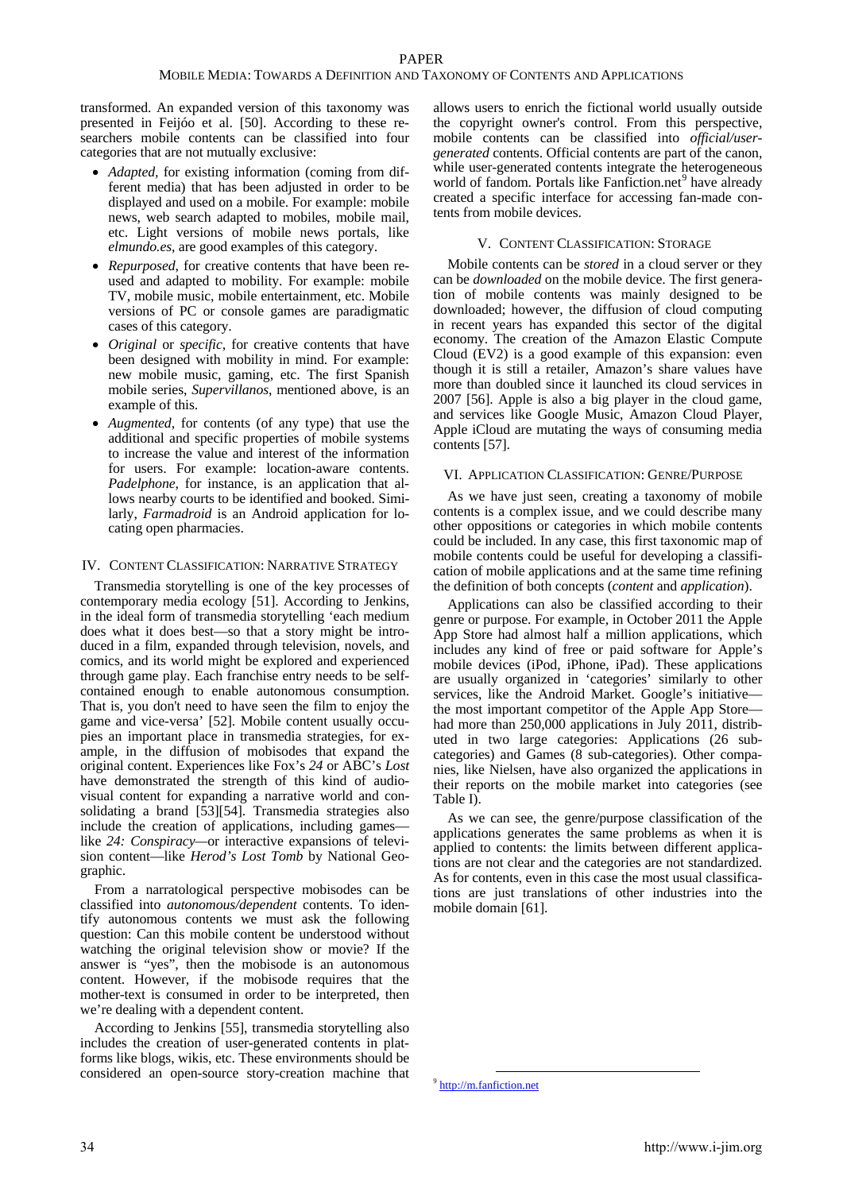transformed. An expanded version of this taxonomy was presented in Feijóo et al. [50]. According to these researchers mobile contents can be classified into four categories that are not mutually exclusive:

- *Adapted,* for existing information (coming from different media) that has been adjusted in order to be displayed and used on a mobile. For example: mobile news, web search adapted to mobiles, mobile mail, etc. Light versions of mobile news portals, like *elmundo.es*, are good examples of this category.
- *Repurposed*, for creative contents that have been reused and adapted to mobility. For example: mobile TV, mobile music, mobile entertainment, etc. Mobile versions of PC or console games are paradigmatic cases of this category.
- *Original* or *specific*, for creative contents that have been designed with mobility in mind. For example: new mobile music, gaming, etc. The first Spanish mobile series, *Supervillanos*, mentioned above, is an example of this.
- *Augmented*, for contents (of any type) that use the additional and specific properties of mobile systems to increase the value and interest of the information for users. For example: location-aware contents. *Padelphone*, for instance, is an application that allows nearby courts to be identified and booked. Similarly, *Farmadroid* is an Android application for locating open pharmacies.

# IV. CONTENT CLASSIFICATION: NARRATIVE STRATEGY

Transmedia storytelling is one of the key processes of contemporary media ecology [51]. According to Jenkins, in the ideal form of transmedia storytelling 'each medium does what it does best—so that a story might be introduced in a film, expanded through television, novels, and comics, and its world might be explored and experienced through game play. Each franchise entry needs to be selfcontained enough to enable autonomous consumption. That is, you don't need to have seen the film to enjoy the game and vice-versa' [52]. Mobile content usually occupies an important place in transmedia strategies, for example, in the diffusion of mobisodes that expand the original content. Experiences like Fox's *24* or ABC's *Lost*  have demonstrated the strength of this kind of audiovisual content for expanding a narrative world and consolidating a brand [53][54]. Transmedia strategies also include the creation of applications, including games like *24: Conspiracy—*or interactive expansions of television content—like *Herod's Lost Tomb* by National Geographic.

From a narratological perspective mobisodes can be classified into *autonomous/dependent* contents. To identify autonomous contents we must ask the following question: Can this mobile content be understood without watching the original television show or movie? If the answer is "yes", then the mobisode is an autonomous content. However, if the mobisode requires that the mother-text is consumed in order to be interpreted, then we're dealing with a dependent content.

<span id="page-5-0"></span>According to Jenkins [55], transmedia storytelling also includes the creation of user-generated contents in platforms like blogs, wikis, etc. These environments should be considered an open-source story-creation machine that allows users to enrich the fictional world usually outside the copyright owner's control. From this perspective, mobile contents can be classified into *official/usergenerated* contents. Official contents are part of the canon, while user-generated contents integrate the heterogeneous world of fandom. Portals like Fanfiction.net<sup>[9](#page-5-0)</sup> have already created a specific interface for accessing fan-made contents from mobile devices.

# V. CONTENT CLASSIFICATION: STORAGE

Mobile contents can be *stored* in a cloud server or they can be *downloaded* on the mobile device. The first generation of mobile contents was mainly designed to be downloaded; however, the diffusion of cloud computing in recent years has expanded this sector of the digital economy. The creation of the Amazon Elastic Compute Cloud (EV2) is a good example of this expansion: even though it is still a retailer, Amazon's share values have more than doubled since it launched its cloud services in 2007 [56]. Apple is also a big player in the cloud game, and services like Google Music, Amazon Cloud Player, Apple iCloud are mutating the ways of consuming media contents [57].

#### VI. APPLICATION CLASSIFICATION: GENRE/PURPOSE

As we have just seen, creating a taxonomy of mobile contents is a complex issue, and we could describe many other oppositions or categories in which mobile contents could be included. In any case, this first taxonomic map of mobile contents could be useful for developing a classification of mobile applications and at the same time refining the definition of both concepts (*content* and *application*).

Applications can also be classified according to their genre or purpose. For example, in October 2011 the Apple App Store had almost half a million applications, which includes any kind of free or paid software for Apple's mobile devices (iPod, iPhone, iPad). These applications are usually organized in 'categories' similarly to other services, like the Android Market. Google's initiative the most important competitor of the Apple App Store had more than 250,000 applications in July 2011, distributed in two large categories: Applications (26 subcategories) and Games (8 sub-categories). Other companies, like Nielsen, have also organized the applications in their reports on the mobile market into categories (see Table I).

As we can see, the genre/purpose classification of the applications generates the same problems as when it is applied to contents: the limits between different applications are not clear and the categories are not standardized. As for contents, even in this case the most usual classifications are just translations of other industries into the mobile domain [61].

9 http://m.fanfiction.net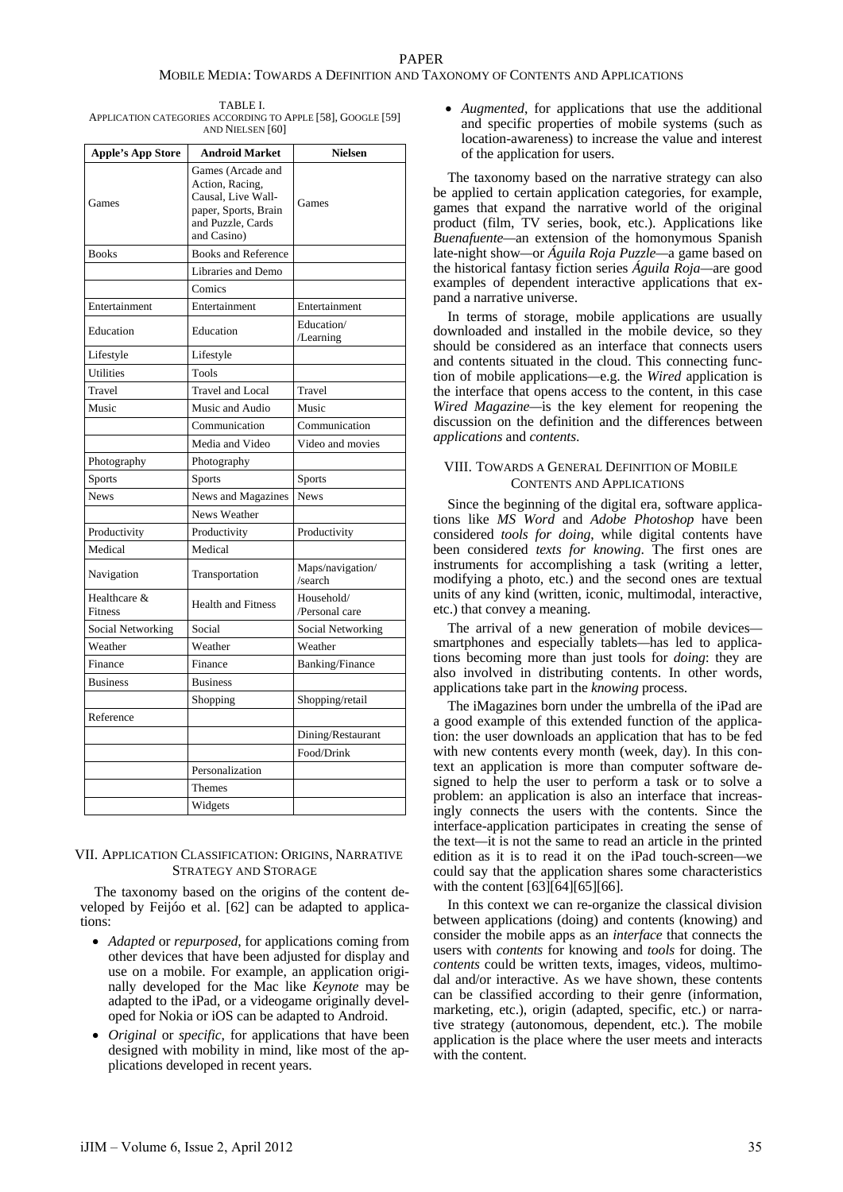| TABLE L                                                     |
|-------------------------------------------------------------|
| APPLICATION CATEGORIES ACCORDING TO APPLE [58], GOOGLE [59] |
| AND NIELSEN [60]                                            |

| <b>Apple's App Store</b> | <b>Android Market</b>                                                                                                  | <b>Nielsen</b>               |
|--------------------------|------------------------------------------------------------------------------------------------------------------------|------------------------------|
| Games                    | Games (Arcade and<br>Action, Racing,<br>Causal, Live Wall-<br>paper, Sports, Brain<br>and Puzzle, Cards<br>and Casino) | Games                        |
| <b>Books</b>             | <b>Books and Reference</b>                                                                                             |                              |
|                          | Libraries and Demo                                                                                                     |                              |
|                          | Comics                                                                                                                 |                              |
| Entertainment            | Entertainment                                                                                                          | Entertainment                |
| Education                | Education                                                                                                              | Education/<br>/Learning      |
| Lifestyle                | Lifestyle                                                                                                              |                              |
| <b>Utilities</b>         | Tools                                                                                                                  |                              |
| Travel                   | <b>Travel and Local</b>                                                                                                | Travel                       |
| Music                    | Music and Audio                                                                                                        | Music                        |
|                          | Communication                                                                                                          | Communication                |
|                          | Media and Video                                                                                                        | Video and movies             |
| Photography              | Photography                                                                                                            |                              |
| <b>Sports</b>            | <b>Sports</b>                                                                                                          | <b>Sports</b>                |
| <b>News</b>              | News and Magazines                                                                                                     | <b>News</b>                  |
|                          | News Weather                                                                                                           |                              |
| Productivity             | Productivity                                                                                                           | Productivity                 |
| Medical                  | Medical                                                                                                                |                              |
| Navigation               | Transportation                                                                                                         | Maps/navigation/<br>/search  |
| Healthcare &<br>Fitness  | <b>Health and Fitness</b>                                                                                              | Household/<br>/Personal care |
| Social Networking        | Social                                                                                                                 | Social Networking            |
| Weather                  | Weather                                                                                                                | Weather                      |
| Finance                  | Finance                                                                                                                | Banking/Finance              |
| <b>Business</b>          | <b>Business</b>                                                                                                        |                              |
|                          | Shopping                                                                                                               | Shopping/retail              |
| Reference                |                                                                                                                        |                              |
|                          |                                                                                                                        | Dining/Restaurant            |
|                          |                                                                                                                        | Food/Drink                   |
|                          | Personalization                                                                                                        |                              |
|                          | Themes                                                                                                                 |                              |
|                          | Widgets                                                                                                                |                              |

# VII. APPLICATION CLASSIFICATION: ORIGINS, NARRATIVE STRATEGY AND STORAGE

The taxonomy based on the origins of the content developed by Feijóo et al. [62] can be adapted to applications:

- *Adapted* or *repurposed*, for applications coming from other devices that have been adjusted for display and use on a mobile. For example, an application originally developed for the Mac like *Keynote* may be adapted to the iPad, or a videogame originally developed for Nokia or iOS can be adapted to Android.
- *Original* or *specific*, for applications that have been designed with mobility in mind, like most of the applications developed in recent years.

 *Augmented*, for applications that use the additional and specific properties of mobile systems (such as location-awareness) to increase the value and interest of the application for users.

The taxonomy based on the narrative strategy can also be applied to certain application categories, for example, games that expand the narrative world of the original product (film, TV series, book, etc.). Applications like *Buenafuente—*an extension of the homonymous Spanish late-night show*—*or *Águila Roja Puzzle—*a game based on the historical fantasy fiction series *Águila Roja—*are good examples of dependent interactive applications that expand a narrative universe.

In terms of storage, mobile applications are usually downloaded and installed in the mobile device, so they should be considered as an interface that connects users and contents situated in the cloud. This connecting function of mobile applications*—*e.g. the *Wired* application is the interface that opens access to the content, in this case *Wired Magazine—*is the key element for reopening the discussion on the definition and the differences between *applications* and *contents*.

# VIII. TOWARDS A GENERAL DEFINITION OF MOBILE CONTENTS AND APPLICATIONS

Since the beginning of the digital era, software applications like *MS Word* and *Adobe Photoshop* have been considered *tools for doing*, while digital contents have been considered *texts for knowing*. The first ones are instruments for accomplishing a task (writing a letter, modifying a photo, etc.) and the second ones are textual units of any kind (written, iconic, multimodal, interactive, etc.) that convey a meaning.

The arrival of a new generation of mobile devices smartphones and especially tablets*—*has led to applications becoming more than just tools for *doing*: they are also involved in distributing contents. In other words, applications take part in the *knowing* process.

The iMagazines born under the umbrella of the iPad are a good example of this extended function of the application: the user downloads an application that has to be fed with new contents every month (week, day). In this context an application is more than computer software designed to help the user to perform a task or to solve a problem: an application is also an interface that increasingly connects the users with the contents. Since the interface-application participates in creating the sense of the text*—*it is not the same to read an article in the printed edition as it is to read it on the iPad touch-screen*—*we could say that the application shares some characteristics with the content [63][64][65][66].

In this context we can re-organize the classical division between applications (doing) and contents (knowing) and consider the mobile apps as an *interface* that connects the users with *contents* for knowing and *tools* for doing. The *contents* could be written texts, images, videos, multimodal and/or interactive. As we have shown, these contents can be classified according to their genre (information, marketing, etc.), origin (adapted, specific, etc.) or narrative strategy (autonomous, dependent, etc.). The mobile application is the place where the user meets and interacts with the content.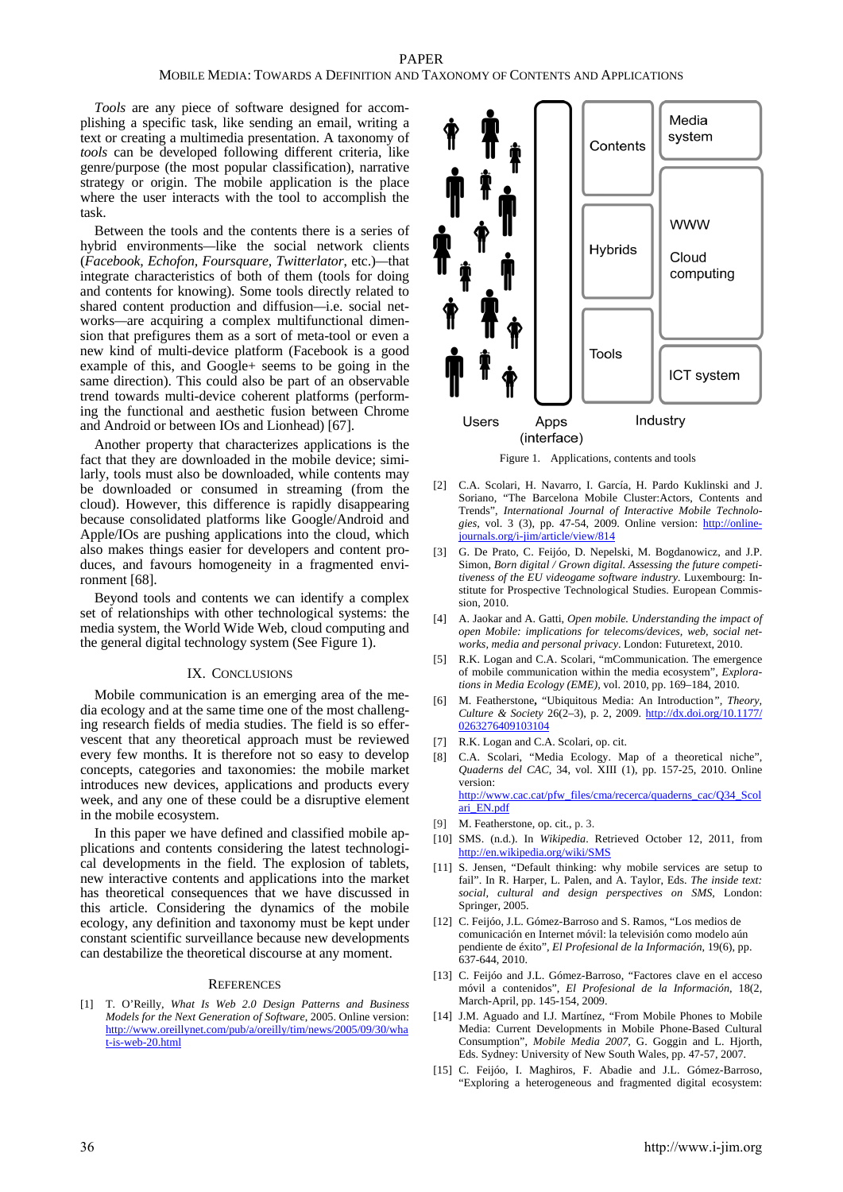*Tools* are any piece of software designed for accomplishing a specific task, like sending an email, writing a text or creating a multimedia presentation. A taxonomy of *tools* can be developed following different criteria, like genre/purpose (the most popular classification), narrative strategy or origin. The mobile application is the place where the user interacts with the tool to accomplish the task.

Between the tools and the contents there is a series of hybrid environments*—*like the social network clients (*Facebook, Echofon, Foursquare, Twitterlator*, etc.)*—*that integrate characteristics of both of them (tools for doing and contents for knowing). Some tools directly related to shared content production and diffusion*—*i.e. social networks*—*are acquiring a complex multifunctional dimension that prefigures them as a sort of meta-tool or even a new kind of multi-device platform (Facebook is a good example of this, and Google+ seems to be going in the same direction). This could also be part of an observable trend towards multi-device coherent platforms (performing the functional and aesthetic fusion between Chrome and Android or between IOs and Lionhead) [67].

Another property that characterizes applications is the fact that they are downloaded in the mobile device; similarly, tools must also be downloaded, while contents may be downloaded or consumed in streaming (from the cloud). However, this difference is rapidly disappearing because consolidated platforms like Google/Android and Apple/IOs are pushing applications into the cloud, which also makes things easier for developers and content produces, and favours homogeneity in a fragmented environment [68].

Beyond tools and contents we can identify a complex set of relationships with other technological systems: the media system, the World Wide Web, cloud computing and the general digital technology system (See Figure 1).

# IX. CONCLUSIONS

Mobile communication is an emerging area of the media ecology and at the same time one of the most challenging research fields of media studies. The field is so effervescent that any theoretical approach must be reviewed every few months. It is therefore not so easy to develop concepts, categories and taxonomies: the mobile market introduces new devices, applications and products every week, and any one of these could be a disruptive element in the mobile ecosystem.

In this paper we have defined and classified mobile applications and contents considering the latest technological developments in the field. The explosion of tablets, new interactive contents and applications into the market has theoretical consequences that we have discussed in this article. Considering the dynamics of the mobile ecology, any definition and taxonomy must be kept under constant scientific surveillance because new developments can destabilize the theoretical discourse at any moment.

#### **REFERENCES**

[1] T. O'Reilly, *What Is Web 2.0 Design Patterns and Business Models for the Next Generation of Software*, 2005. Online version: [http://www.oreillynet.com/pub/a/oreilly/tim/news/2005/09/30/wha](http://www.oreillynet.com/pub/a/oreilly/tim/news/2005/09/30/what-is-web-20.html) [t-is-web-20.html](http://www.oreillynet.com/pub/a/oreilly/tim/news/2005/09/30/what-is-web-20.html)



Figure 1. Applications, contents and tools

- [2] C.A. Scolari, H. Navarro, I. García, H. Pardo Kuklinski and J. Soriano, "The Barcelona Mobile Cluster:Actors, Contents and Trends", *International Journal of Interactive Mobile Technologies,* vol. 3 (3), pp. 47-54, 2009. Online version: [http://online](http://online-journals.org/i-jim/article/view/814)[journals.org/i-jim/article/view/814](http://online-journals.org/i-jim/article/view/814)
- [3] G. De Prato, C. Feijóo, D. Nepelski, M. Bogdanowicz, and J.P. Simon, *Born digital / Grown digital. Assessing the future competitiveness of the EU videogame software industry.* Luxembourg: Institute for Prospective Technological Studies. European Commission, 2010.
- [4] A. Jaokar and A. Gatti, *Open mobile. Understanding the impact of open Mobile: implications for telecoms/devices, web, social networks, media and personal privacy*. London: Futuretext, 2010.
- [5] R.K. Logan and C.A. Scolari, "mCommunication. The emergence of mobile communication within the media ecosystem", *Explorations in Media Ecology (EME),* vol. 2010, pp. 169–184, 2010.
- [6] M. Featherstone**,** "Ubiquitous Media: An Introduction*", Theory, Culture & Society* 26(2–3), p. 2, 2009. [http://dx.doi.org/10.1177/](http://dx.doi.org/10.1177/0263276409103104) [0263276409103104](http://dx.doi.org/10.1177/0263276409103104)
- [7] R.K. Logan and C.A. Scolari, op. cit.
- [8] C.A. Scolari, "Media Ecology. Map of a theoretical niche", *Quaderns del CAC,* 34, vol. XIII (1), pp. 157-25, 2010. Online version: [http://www.cac.cat/pfw\\_files/cma/recerca/quaderns\\_cac/Q34\\_Scol](http://www.cac.cat/pfw_files/cma/recerca/quaderns_cac/Q34_Scolari_EN.pdf)
- [ari\\_EN.pdf](http://www.cac.cat/pfw_files/cma/recerca/quaderns_cac/Q34_Scolari_EN.pdf)  [9] M. Featherstone, op. cit., p. 3.
- [10] SMS. (n.d.). In *Wikipedia*. Retrieved October 12, 2011, from <http://en.wikipedia.org/wiki/SMS>
- [11] S. Jensen, "Default thinking: why mobile services are setup to fail". In R. Harper, L. Palen, and A. Taylor, Eds. *The inside text: social, cultural and design perspectives on SMS*, London: Springer, 2005.
- [12] C. Feijóo, J.L. Gómez-Barroso and S. Ramos, "Los medios de comunicación en Internet móvil: la televisión como modelo aún pendiente de éxito", *El Profesional de la Información*, 19(6), pp. 637-644, 2010.
- [13] C. Feijóo and J.L. Gómez-Barroso, "Factores clave en el acceso móvil a contenidos", *El Profesional de la Información*, 18(2, March-April, pp. 145-154, 2009.
- [14] J.M. Aguado and I.J. Martínez, "From Mobile Phones to Mobile Media: Current Developments in Mobile Phone-Based Cultural Consumption", *Mobile Media 2007,* G. Goggin and L. Hjorth, Eds. Sydney: University of New South Wales, pp. 47-57, 2007.
- [15] C. Feijóo, I. Maghiros, F. Abadie and J.L. Gómez-Barroso, "Exploring a heterogeneous and fragmented digital ecosystem: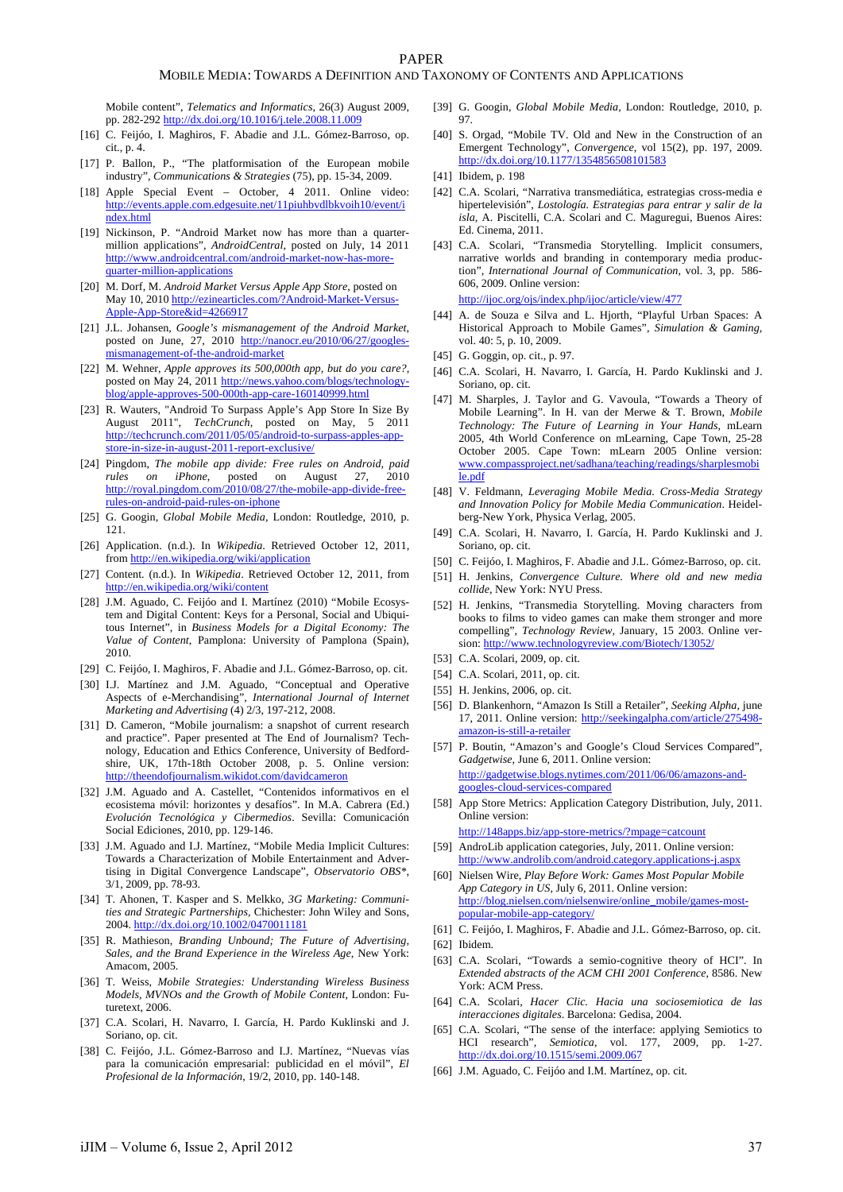Mobile content", *Telematics and Informatics*, 26(3) August 2009, pp. 282-292<http://dx.doi.org/10.1016/j.tele.2008.11.009>

- [16] C. Feijóo, I. Maghiros, F. Abadie and J.L. Gómez-Barroso, op. cit., p. 4.
- [17] P. Ballon, P., "The platformisation of the European mobile industry", *Communications & Strategies* (75), pp. 15-34, 2009.
- [18] Apple Special Event October, 4 2011. Online video: [http://events.apple.com.edgesuite.net/11piuhbvdlbkvoih10/event/i](http://events.apple.com.edgesuite.net/11piuhbvdlbkvoih10/event/index.html) [ndex.html](http://events.apple.com.edgesuite.net/11piuhbvdlbkvoih10/event/index.html)
- [19] Nickinson, P. "Android Market now has more than a quartermillion applications", *AndroidCentral*, posted on July, 14 2011 [http://www.androidcentral.com/android-market-now-has-more](http://www.androidcentral.com/android-market-now-has-more-quarter-million-applications)[quarter-million-applications](http://www.androidcentral.com/android-market-now-has-more-quarter-million-applications)
- [20] M. Dorf, M. *Android Market Versus Apple App Store*, posted on May 10, 2010 [http://ezinearticles.com/?Android-Market-Versus-](http://ezinearticles.com/?Android-Market-Versus-Apple-App-Store&id=4266917)[Apple-App-Store&id=4266917](http://ezinearticles.com/?Android-Market-Versus-Apple-App-Store&id=4266917)
- [21] J.L. Johansen, *Google's mismanagement of the Android Market*, posted on June, 27, 2010 [http://nanocr.eu/2010/06/27/googles](http://nanocr.eu/2010/06/27/googles-mismanagement-of-the-android-market)[mismanagement-of-the-android-market](http://nanocr.eu/2010/06/27/googles-mismanagement-of-the-android-market)
- [22] M. Wehner, *Apple approves its 500,000th app, but do you care?,* posted on May 24, 2011 [http://news.yahoo.com/blogs/technology](http://news.yahoo.com/blogs/technology-blog/apple-approves-500-000th-app-care-160140999.html)[blog/apple-approves-500-000th-app-care-160140999.html](http://news.yahoo.com/blogs/technology-blog/apple-approves-500-000th-app-care-160140999.html)
- [23] R. Wauters, "Android To Surpass Apple's App Store In Size By August 2011", *TechCrunch*, posted on May, 5 2011 [http://techcrunch.com/2011/05/05/android-to-surpass-apples-app](http://techcrunch.com/2011/05/05/android-to-surpass-apples-app-store-in-size-in-august-2011-report-exclusive/)[store-in-size-in-august-2011-report-exclusive/](http://techcrunch.com/2011/05/05/android-to-surpass-apples-app-store-in-size-in-august-2011-report-exclusive/)
- [24] Pingdom, *The mobile app divide: Free rules on Android, paid rules on iPhone*, posted on August 27, 2010 [http://royal.pingdom.com/2010/08/27/the-mobile-app-divide-free](http://royal.pingdom.com/2010/08/27/the-mobile-app-divide-free-rules-on-android-paid-rules-on-iphone)[rules-on-android-paid-rules-on-iphone](http://royal.pingdom.com/2010/08/27/the-mobile-app-divide-free-rules-on-android-paid-rules-on-iphone)
- [25] G. Googin, *Global Mobile Media,* London: Routledge, 2010, p. 121.
- [26] Application. (n.d.). In *Wikipedia*. Retrieved October 12, 2011, from<http://en.wikipedia.org/wiki/application>
- [27] Content. (n.d.). In *Wikipedia*. Retrieved October 12, 2011, from <http://en.wikipedia.org/wiki/content>
- [28] J.M. Aguado, C. Feijóo and I. Martínez (2010) "Mobile Ecosystem and Digital Content: Keys for a Personal, Social and Ubiquitous Internet", in *Business Models for a Digital Economy: The Value of Content*, Pamplona: University of Pamplona (Spain), 2010.
- [29] C. Feijóo, I. Maghiros, F. Abadie and J.L. Gómez-Barroso, op. cit.
- [30] I.J. Martínez and J.M. Aguado, "Conceptual and Operative Aspects of e-Merchandising", *International Journal of Internet Marketing and Advertising* (4) 2/3, 197-212, 2008.
- [31] D. Cameron, "Mobile journalism: a snapshot of current research and practice". Paper presented at The End of Journalism? Technology, Education and Ethics Conference, University of Bedfordshire, UK, 17th-18th October 2008, p. 5. Online version: <http://theendofjournalism.wikidot.com/davidcameron>
- [32] J.M. Aguado and A. Castellet, "Contenidos informativos en el ecosistema móvil: horizontes y desafíos". In M.A. Cabrera (Ed.) *Evolución Tecnológica y Cibermedios*. Sevilla: Comunicación Social Ediciones, 2010, pp. 129-146.
- [33] J.M. Aguado and I.J. Martínez, "Mobile Media Implicit Cultures: Towards a Characterization of Mobile Entertainment and Advertising in Digital Convergence Landscape", *Observatorio OBS\**, 3/1, 2009, pp. 78-93.
- [34] T. Ahonen, T. Kasper and S. Melkko, *3G Marketing: Communities and Strategic Partnerships,* Chichester: John Wiley and Sons, 2004. <http://dx.doi.org/10.1002/0470011181>
- [35] R. Mathieson, *Branding Unbound; The Future of Advertising, Sales, and the Brand Experience in the Wireless Age*, New York: Amacom, 2005.
- [36] T. Weiss, *Mobile Strategies: Understanding Wireless Business Models, MVNOs and the Growth of Mobile Content*, London: Futuretext, 2006.
- [37] C.A. Scolari, H. Navarro, I. García, H. Pardo Kuklinski and J. Soriano, op. cit.
- [38] C. Feijóo, J.L. Gómez-Barroso and I.J. Martínez, "Nuevas vías para la comunicación empresarial: publicidad en el móvil", *El Profesional de la Información*, 19/2, 2010, pp. 140-148.
- [39] G. Googin, *Global Mobile Media,* London: Routledge, 2010, p. 97.
- [40] S. Orgad, "Mobile TV. Old and New in the Construction of an Emergent Technology", *Convergence*, vol 15(2), pp. 197, 2009. <http://dx.doi.org/10.1177/1354856508101583>
- [41] Ibidem, p. 198
- [42] C.A. Scolari, "Narrativa transmediática, estrategias cross-media e hipertelevisión", *Lostología. Estrategias para entrar y salir de la isla,* A. Piscitelli, C.A. Scolari and C. Maguregui, Buenos Aires: Ed. Cinema, 2011.
- [43] C.A. Scolari, "Transmedia Storytelling. Implicit consumers, narrative worlds and branding in contemporary media production", *International Journal of Communication*, vol. 3, pp. 586- 606, 2009. Online version:

<http://ijoc.org/ojs/index.php/ijoc/article/view/477>

- [44] A. de Souza e Silva and L. Hjorth, "Playful Urban Spaces: A Historical Approach to Mobile Games", *Simulation & Gaming*, vol. 40: 5, p. 10, 2009.
- [45] G. Goggin, op. cit., p. 97.
- [46] C.A. Scolari, H. Navarro, I. García, H. Pardo Kuklinski and J. Soriano, op. cit.
- [47] M. Sharples, J. Taylor and G. Vavoula, "Towards a Theory of Mobile Learning". In H. van der Merwe & T. Brown, *Mobile Technology: The Future of Learning in Your Hands*, mLearn 2005, 4th World Conference on mLearning, Cape Town, 25-28 October 2005. Cape Town: mLearn 2005 Online version: [www.compassproject.net/sadhana/teaching/readings/sharplesmobi](http://www.compassproject.net/sadhana/teaching/readings/sharplesmobile.pdf) [le.pdf](http://www.compassproject.net/sadhana/teaching/readings/sharplesmobile.pdf)
- [48] V. Feldmann, *Leveraging Mobile Media. Cross-Media Strategy and Innovation Policy for Mobile Media Communication*. Heidelberg-New York, Physica Verlag, 2005.
- [49] C.A. Scolari, H. Navarro, I. García, H. Pardo Kuklinski and J. Soriano, op. cit.
- [50] C. Feijóo, I. Maghiros, F. Abadie and J.L. Gómez-Barroso, op. cit.
- [51] H. Jenkins, *Convergence Culture. Where old and new media collide*, New York: NYU Press.
- [52] H. Jenkins, "Transmedia Storytelling. Moving characters from books to films to video games can make them stronger and more compelling", *Technology Review,* January, 15 2003. Online version: <http://www.technologyreview.com/Biotech/13052/>
- [53] C.A. Scolari, 2009, op. cit.
- [54] C.A. Scolari, 2011, op. cit.
- [55] H. Jenkins, 2006, op. cit.
- [56] D. Blankenhorn, "Amazon Is Still a Retailer", *Seeking Alpha,* june 17, 2011. Online version: [http://seekingalpha.com/article/275498](http://seekingalpha.com/article/275498-amazon-is-still-a-retailer) [amazon-is-still-a-retailer](http://seekingalpha.com/article/275498-amazon-is-still-a-retailer)
- [57] P. Boutin, "Amazon's and Google's Cloud Services Compared", *Gadgetwise,* June 6, 2011. Online version: [http://gadgetwise.blogs.nytimes.com/2011/06/06/amazons-and](http://gadgetwise.blogs.nytimes.com/2011/06/06/amazons-and-googles-cloud-services-compared)[googles-cloud-services-compared](http://gadgetwise.blogs.nytimes.com/2011/06/06/amazons-and-googles-cloud-services-compared)
- [58] App Store Metrics: Application Category Distribution, July, 2011. Online version:
- <http://148apps.biz/app-store-metrics/?mpage=catcount> [59] AndroLib application categories, July, 2011. Online version:
- <http://www.androlib.com/android.category.applications-j.aspx> [60] Nielsen Wire, *Play Before Work: Games Most Popular Mobile*
- *App Category in US,* July 6, 2011. Online version: [http://blog.nielsen.com/nielsenwire/online\\_mobile/games-most](http://blog.nielsen.com/nielsenwire/online_mobile/games-most-popular-mobile-app-category/)[popular-mobile-app-category/](http://blog.nielsen.com/nielsenwire/online_mobile/games-most-popular-mobile-app-category/)
- [61] C. Feijóo, I. Maghiros, F. Abadie and J.L. Gómez-Barroso, op. cit.
- [62] Ibidem.
- [63] C.A. Scolari, "Towards a semio-cognitive theory of HCI". In *Extended abstracts of the ACM CHI 2001 Conference*, 8586. New York: ACM Press.
- [64] C.A. Scolari, *Hacer Clic. Hacia una sociosemiotica de las interacciones digitales*. Barcelona: Gedisa, 2004.
- [65] C.A. Scolari, "The sense of the interface: applying Semiotics to HCI research", *Semiotica*, vol. 177, 2009, pp. 1-27. <http://dx.doi.org/10.1515/semi.2009.067>
- [66] J.M. Aguado, C. Feijóo and I.M. Martínez, op. cit.